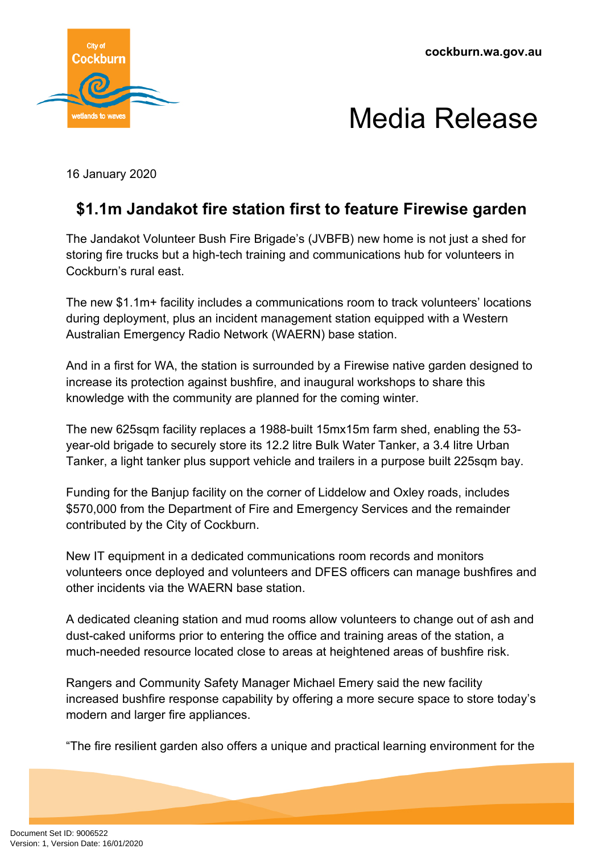**cockburn.wa.gov.au**



## Media Release

16 January 2020

## **\$1.1m Jandakot fire station first to feature Firewise garden**

The Jandakot Volunteer Bush Fire Brigade's (JVBFB) new home is not just a shed for storing fire trucks but a high-tech training and communications hub for volunteers in Cockburn's rural east.

The new \$1.1m+ facility includes a communications room to track volunteers' locations during deployment, plus an incident management station equipped with a Western Australian Emergency Radio Network (WAERN) base station.

And in a first for WA, the station is surrounded by a Firewise native garden designed to increase its protection against bushfire, and inaugural workshops to share this knowledge with the community are planned for the coming winter.

The new 625sqm facility replaces a 1988-built 15mx15m farm shed, enabling the 53 year-old brigade to securely store its 12.2 litre Bulk Water Tanker, a 3.4 litre Urban Tanker, a light tanker plus support vehicle and trailers in a purpose built 225sqm bay.

Funding for the Banjup facility on the corner of Liddelow and Oxley roads, includes \$570,000 from the Department of Fire and Emergency Services and the remainder contributed by the City of Cockburn.

New IT equipment in a dedicated communications room records and monitors volunteers once deployed and volunteers and DFES officers can manage bushfires and other incidents via the WAERN base station.

A dedicated cleaning station and mud rooms allow volunteers to change out of ash and dust-caked uniforms prior to entering the office and training areas of the station, a much-needed resource located close to areas at heightened areas of bushfire risk.

Rangers and Community Safety Manager Michael Emery said the new facility increased bushfire response capability by offering a more secure space to store today's modern and larger fire appliances.

"The fire resilient garden also offers a unique and practical learning environment for the